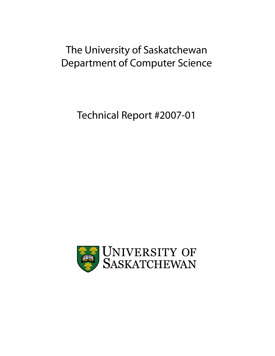# The University of Saskatchewan Department of Computer Science

Technical Report #2007-01

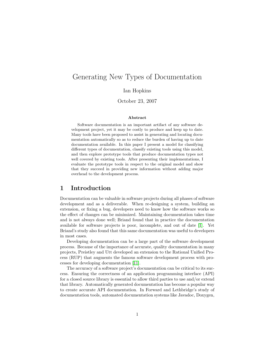## Generating New Types of Documentation

Ian Hopkins

October 23, 2007

#### Abstract

Software documentation is an important artifact of any software development project, yet it may be costly to produce and keep up to date. Many tools have been proposed to assist in generating and locating documentation automatically so as to reduce the burden of having up to date documentation available. In this paper I present a model for classifying different types of documentation, classify existing tools using this model, and then explore prototype tools that produce documentation types not well covered by existing tools. After presenting their implementations, I evaluate the prototype tools in respect to the original model and show that they succeed in providing new information without adding major overhead to the development process.

## 1 Introduction

Documentation can be valuable in software projects during all phases of software development and as a deliverable. When re-designing a system, building an extension, or fixing a bug, developers need to know how the software works so the effect of changes can be minimized. Maintaining documentation takes time and is not always done well; Briand found that in practice the documentation available for software projects is poor, incomplete, and out of date [\[1\]](#page-15-0). Yet Briand's study also found that this same documentation was useful to developers in most cases.

Developing documentation can be a large part of the software development process. Because of the importance of accurate, quality documentation in many projects, Preistley and Utt developed an extension to the Rational Unified Process (RUP) that augments the famous software development process with processes for developing documentation [\[11\]](#page-16-0).

The accuracy of a software project's documentation can be critical to its success. Ensuring the correctness of an application programming interface (API) for a closed source library is essential to allow third parties to use and/or extend that library. Automatically generated documentation has become a popular way to create accurate API documentation. In Forward and Lethbridge's study of documentation tools, automated documentation systems like Javadoc, Doxygen,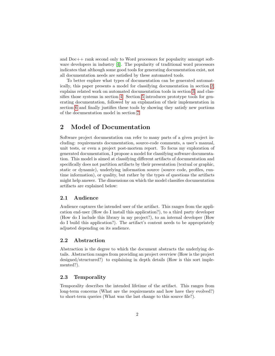and Doc++ rank second only to Word processors for popularity amongst software developers in industry [\[4\]](#page-15-1). The popularity of traditional word processors indicates that although some good tools for generating documentation exist, not all documentation needs are satisfied by these automated tools.

To better explore what types of documentation can be generated automatically, this paper presents a model for classifying documentation in section [2,](#page-2-0) explains related work on automated documentation tools in section [3,](#page-3-0) and classifies those systems in section [4.](#page-4-0) Section [5](#page-5-0) introduces prototype tools for generating documentation, followed by an explanation of their implementation in section [6](#page-8-0) and finally justifies these tools by showing they satisfy new portions of the documentation model in section [7.](#page-12-0)

## <span id="page-2-0"></span>2 Model of Documentation

Software project documentation can refer to many parts of a given project including: requirements documentation, source-code comments, a user's manual, unit tests, or even a project post-mortem report. To focus my exploration of generated documentation, I propose a model for classifying software documentation. This model is aimed at classifying different artifacts of documentation and specifically does not partition artifacts by their presentation (textual or graphic, static or dynamic), underlying information source (source code, profiles, runtime information), or quality, but rather by the types of questions the artifacts might help answer. The dimensions on which the model classifies documentation artifacts are explained below:

#### 2.1 Audience

Audience captures the intended user of the artifact. This ranges from the application end-user (How do I install this application?), to a third party developer (How do I include this library in my project?), to an internal developer (How do I build this application?). The artifact's content needs to be appropriately adjusted depending on its audience.

#### 2.2 Abstraction

Abstraction is the degree to which the document abstracts the underlying details. Abstraction ranges from providing an project overview (How is the project designed/structured?) to explaining in depth details (How is this sort implemented?).

#### 2.3 Temporality

Temporality describes the intended lifetime of the artifact. This ranges from long-term concerns (What are the requirements and how have they evolved?) to short-term queries (What was the last change to this source file?).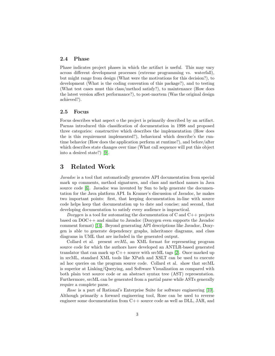#### 2.4 Phase

Phase indicates project phases in which the artifact is useful. This may vary across different development processes (extreme programming vs. waterfall), but might range from design (What were the motivations for this decision?), to development (What is the coding convention of this package?), and to testing (What test cases must this class/method satisfy?), to maintenance (How does the latest version affect performance?), to post-mortem (Was the original design achieved?).

#### 2.5 Focus

Focus describes what aspect o the project is primarily described by an artifact. Parnas introduced this classification of documentation in 1998 and proposed three categories: constructive which describes the implementation (How does the is this requirement implemented?), behavioral which describe's the runtime behavior (How does the application perform at runtime?), and before/after which describes state changes over time (What call sequence will put this object into a desired state?) [\[9\]](#page-16-1).

## <span id="page-3-0"></span>3 Related Work

Javadoc is a tool that automatically generates API documentation from special mark up comments, method signatures, and class and method names in Java source code [\[6\]](#page-15-2). Javadoc was invented by Sun to help generate the documentation for the Java platform API. In Kramer's discussion of Javadoc, he makes two important points: first, that keeping documentation in-line with source code helps keep that documentation up to date and concise; and second, that developing documentation to satisfy every audience is impractical.

Doxygen is a tool for automating the documentation of C and  $C++$  projects based on DOC++ and similar to Javadoc (Doxygen even supports the Javadoc comment format) [\[14\]](#page-16-2). Beyond generating API descriptions like Javadoc, Doxygen is able to generate dependency graphs, inheritance diagrams, and class diagrams in UML that are included in the generated output.

Collard et al. present srcML, an XML format for representing program source code for which the authors have developed an ANTLR-based generated translator that can mark up C++ source with srcML tags [\[2\]](#page-15-3). Once marked up in srcML, standard XML tools like XPath and XSLT can be used to execute ad hoc queries on the program source code. Collard et al. show that srcML is superior at Linking/Querying, and Software Visualization as compared with both plain text source code or an abstract syntax tree (AST) representation. Furthermore, srcML can be generated from a partial parse while ASTs generally require a complete parse.

Rose is a part of Rational's Enterprise Suite for software engineering [\[10\]](#page-16-3). Although primarily a forward engineering tool, Rose can be used to reverse engineer some documentation from C++ source code as well as DLL, JAR, and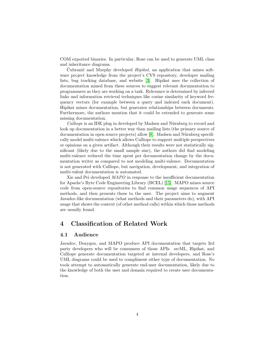COM exported binaries. In particular, Rose can be used to generate UML class and inheritance diagrams.

Cubranić and Murphy developed  $Hipikat$ , an application that mines software project knowledge from the project's CVS repository, developer mailing lists, bug tracking database, and website [\[3\]](#page-15-4). Hipikat uses the collection of documentation mined from these sources to suggest relevant documentation to programmers as they are working on a task. Relevance is determined by inferred links and information retrieval techniques like cosine similarity of keyword frequency vectors (for example between a query and indexed each document). Hipikat mines documentation, but generates relationships between documents. Furthermore, the authors mention that it could be extended to generate some missing documentation.

Calliope is an IDE plug in developed by Madsen and Nürnberg to record and look up documentation in a better way than mailing lists (the primary source of documentation in open source projects) allow [\[8\]](#page-16-4). Madsen and Nürnberg specifically model multi-valence which allows Calliope to support multiple perspectives or opinions on a given artifact. Although their results were not statistically significant (likely due to the small sample size), the authors did find modeling multi-valence reduced the time spent per documentation change by the documentation writer as compared to not modeling multi-valence. Documentation is not generated with Calliope, but navigation, development, and integration of multi-valent documentation is automated.

Xie and Pei developed MAPO in response to the insufficient documentation for Apache's Byte Code Engineering Library (BCEL) [\[15\]](#page-16-5). MAPO mines source code from open-source repositories to find common usage sequences of API methods, and then presents these to the user. The project aims to augment Javadoc-like documentation (what methods and their parameters do), with API usage that shows the context (of other method calls) within which those methods are usually found.

## <span id="page-4-0"></span>4 Classification of Related Work

#### 4.1 Audience

Javadoc, Doxygen, and MAPO produce API documentation that targets 3rd party developers who will be consumers of those APIs. srcML, Hipikat, and Calliope generate documentation targeted at internal developers, and Rose's UML diagrams could be used to compliment either type of documentation. No tools attempt to automatically generate end-user documentation, likely due to the knowledge of both the user and domain required to create user documentation.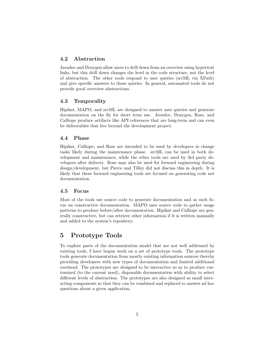## 4.2 Abstraction

Javadoc and Doxygen allow users to drill down from an overview using hypertext links, but this drill down changes the level in the code structure, not the level of abstraction. The other tools respond to user queries (srcML via XPath) and give specific answers to those queries. In general, automated tools do not provide good overview abstractions.

#### 4.3 Temporality

Hipikat, MAPO, and srcML are designed to answer user queries and generate documentation on the fly for short term use. Javadoc, Doxygen, Rose, and Calliope produce artifacts like API references that are long-term and can even be deliverables that live beyond the development project.

## 4.4 Phase

Hipikat, Calliope, and Rose are intended to be used by developers in change tasks likely during the maintenance phase. srcML can be used in both development and maintenance, while the other tools are used by 3rd party developers after delivery. Rose may also be used for forward engineering during design/development, but Pierce and Tilley did not discuss this in depth. It is likely that these forward engineering tools are focused on generating code not documentation.

#### 4.5 Focus

Most of the tools use source code to generate documentation and as such focus on constructive documentation. MAPO uses source code to gather usage patterns to produce before/after documentation. Hipikat and Calliope are generally constructive, but can retrieve other information if it is written manually and added to the system's repository.

## <span id="page-5-0"></span>5 Prototype Tools

To explore parts of the documentation model that are not well addressed by existing tools, I have begun work on a set of prototype tools. The prototype tools generate documentation from mostly existing information sources thereby providing developers with new types of documentation and limited additional overhead. The prototypes are designed to be interactive so as to produce customized (to the current need), disposable documentation with ability to select different levels of abstraction. The prototypes are also designed as small interacting components so that they can be combined and replaced to answer ad hoc questions about a given application.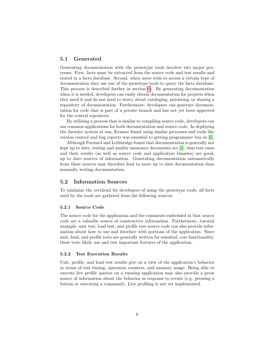#### 5.1 Generated

Generating documentation with the prototype tools involves two major processes. First, facts must be extracted from the source code and test results and stored in a facts database. Second, when users wish to access a certain type of documentation they use one of the prototype tools to query the facts database. This process is described further in section  $6$ ). By generating documentation when it is needed, developers can easily obtain documentation for projects when they need it and do not need to worry about cataloging, persisting, or sharing a repository of documentation. Furthermore, developers can generate documentation for code that is part of a private branch and has not yet been approved for the central repository.

By utilizing a process that is similar to compiling source code, developers can use common applications for both documentation and source code. In deploying the Javadoc system at sun, Kramer found using similar processes and tools like version control and bug reports was essential to getting programmer buy-in [\[6\]](#page-15-2).

Although Forward and Lethbridge found that documentation is generally not kept up to date, testing and quality assurance documents are [\[4\]](#page-15-1), thus test cases and their results (as well as source code and application binaries) are good, up to date sources of information. Generating documentation automatically from these sources may therefore lead to more up to date documentation than manually writing documentation.

#### 5.2 Information Sources

To minimize the overhead for developers of using the prototype tools, all facts used by the tools are gathered from the following sources:

#### 5.2.1 Source Code

The source code for the application and the comments embedded in that source code are a valuable source of constructive information. Furthermore, tutorial example, unit test, load test, and profile test source code can also provide information about how to use and interface with portions of the application. Since unit, load, and profile tests are generally written for essential, core functionality, these tests likely use and test important features of the application.

#### 5.2.2 Test Execution Results

Unit, profile, and load test results give us a view of the application's behavior in terms of test timing, operation counters, and memory usage. Being able to execute live profile queries on a running application may also provide a great source of information about the behavior in response to events (e.g. pressing a button or executing a command). Live profiling is not yet implemented.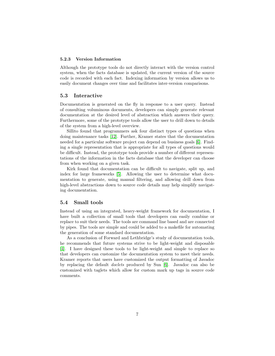#### 5.2.3 Version Information

Although the prototype tools do not directly interact with the version control system, when the facts database is updated, the current version of the source code is recorded with each fact. Indexing information by version allows us to easily document changes over time and facilitates inter-version comparisons.

#### 5.3 Interactive

Documentation is generated on the fly in response to a user query. Instead of consulting voluminous documents, developers can simply generate relevant documentation at the desired level of abstraction which answers their query. Furthermore, some of the prototype tools allow the user to drill down to details of the system from a high-level overview.

Sillito found that programmers ask four distinct types of questions when doing maintenance tasks [\[12\]](#page-16-6). Further, Kramer states that the documentation needed for a particular software project can depend on business goals [\[6\]](#page-15-2). Finding a single representation that is appropriate for all types of questions would be difficult. Instead, the prototype tools provide a number of different representations of the information in the facts database that the developer can choose from when working on a given task.

Kirk found that documentation can be difficult to navigate, split up, and index for large frameworks [\[5\]](#page-15-5). Allowing the user to determine what documentation to generate, using manual filtering, and allowing drill down from high-level abstractions down to source code details may help simplify navigating documentation.

#### 5.4 Small tools

Instead of using an integrated, heavy-weight framework for documentation, I have built a collection of small tools that developers can easily combine or replace to suit their needs. The tools are command line based and are connected by pipes. The tools are simple and could be added to a makefile for automating the generation of some standard documentation.

As a conclusion of Forward and Lethbridge's study of documentation tools, he recommends that future systems strive to be light-weight and disposable [\[4\]](#page-15-1). I have designed these tools to be light-weight and simple to replace so that developers can customize the documentation system to meet their needs. Kramer reports that users have customized the output formatting of Javadoc by replacing the default doclets produced by Sun [\[6\]](#page-15-2). Javadoc can also be customized with taglets which allow for custom mark up tags in source code comments.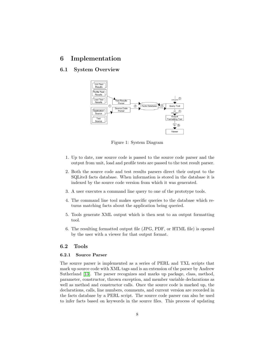## <span id="page-8-0"></span>6 Implementation

## 6.1 System Overview



Figure 1: System Diagram

- 1. Up to date, raw source code is passed to the source code parser and the output from unit, load and profile tests are passed to the test result parser.
- 2. Both the source code and test results parsers direct their output to the SQLite3 facts database. When information is stored in the database it is indexed by the source code version from which it was generated.
- 3. A user executes a command line query to one of the prototype tools.
- 4. The command line tool makes specific queries to the database which returns matching facts about the application being queried.
- 5. Tools generate XML output which is then sent to an output formatting tool.
- 6. The resulting formatted output file (JPG, PDF, or HTML file) is opened by the user with a viewer for that output format.

#### 6.2 Tools

#### 6.2.1 Source Parser

The source parser is implemented as a series of PERL and TXL scripts that mark up source code with XML tags and is an extension of the parser by Andrew Sutherland [\[13\]](#page-16-7). The parser recognizes and marks up package, class, method, parameter, constructor, thrown exception, and member variable declarations as well as method and constructor calls. Once the source code is marked up, the declarations, calls, line numbers, comments, and current version are recorded in the facts database by a PERL script. The source code parser can also be used to infer facts based on keywords in the source files. This process of updating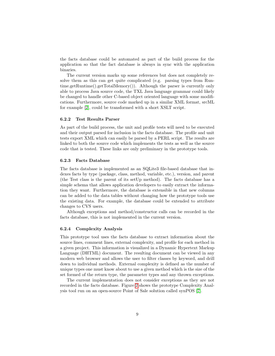the facts database could be automated as part of the build process for the application so that the fact database is always in sync with the application binaries.

The current version marks up some references but does not completely resolve them as this can get quite complicated (e.g. parsing types from Runtime.getRuntime().getTotalMemory()). Although the parser is currently only able to process Java source code, the TXL Java language grammar could likely be changed to handle other C-based object oriented language with some modifications. Furthermore, source code marked up in a similar XML format, srcML for example [\[2\]](#page-15-3), could be transformed with a short XSLT script.

#### 6.2.2 Test Results Parser

As part of the build process, the unit and profile tests will need to be executed and their output parsed for inclusion in the facts database. The profile and unit tests export XML which can easily be parsed by a PERL script. The results are linked to both the source code which implements the tests as well as the source code that is tested. These links are only preliminary in the prototype tools.

#### 6.2.3 Facts Database

The facts database is implemented as an SQLite3 file-based database that indexes facts by type (package, class, method, variable, etc.), version, and parent (the Test class is the parent of its setUp method). The facts database has a simple schema that allows application developers to easily extract the information they want. Furthermore, the database is extensible in that new columns can be added to the data tables without changing how the prototype tools use the existing data. For example, the database could be extended to attribute changes to CVS users.

Although exceptions and method/constructor calls can be recorded in the facts database, this is not implemented in the current version.

#### 6.2.4 Complexity Analysis

This prototype tool uses the facts database to extract information about the source lines, comment lines, external complexity, and profile for each method in a given project. This information is visualized in a Dynamic Hypertext Markup Language (DHTML) document. The resulting document can be viewed in any modern web browser and allows the user to filter classes by keyword, and drill down to individual methods. External complexity is defined as the number of unique types one must know about to use a given method which is the size of the set formed of the return type, the parameter types and any thrown exceptions.

The current implementation does not consider exceptions as they are not recorded in the facts database. Figure [2](#page-10-0) shows the prototype Complexity Analysis tool run on an open-source Point of Sale solution called synPOS [\[7\]](#page-16-8).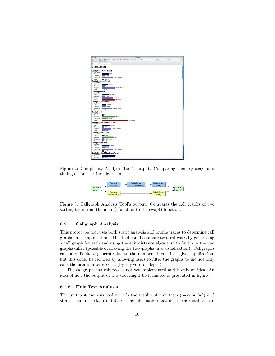

Figure 2: Complexity Analysis Tool's output. Comparing memory usage and timing of four sorting algorithms.

<span id="page-10-1"></span><span id="page-10-0"></span>

Figure 3: Callgraph Analysis Tool's output. Compares the call graphs of two sorting tests from the main() function to the swap() function.

#### 6.2.5 Callgraph Analysis

This prototype tool uses both static analysis and profile traces to determine call graphs in the application. This tool could compare two test cases by generating a call graph for each and using the edit distance algorithm to find how the two graphs differ (possible overlaying the two graphs in a visualization). Callgraphs can be difficult to generate due to the number of calls in a given application, but this could be reduced by allowing users to filter the graphs to include only calls the user is interested in (by keyword or depth).

The callgraph analysis tool is not yet implemented and is only an idea. An idea of how the output of this tool might be formated is presented in figure [3.](#page-10-1)

#### 6.2.6 Unit Test Analysis

The unit test analysis tool records the results of unit tests (pass or fail) and stores them in the facts database. The information recorded in the database can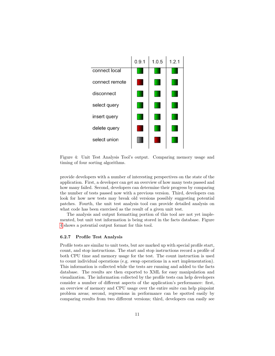

<span id="page-11-0"></span>Figure 4: Unit Test Analysis Tool's output. Comparing memory usage and timing of four sorting algorithms.

provide developers with a number of interesting perspectives on the state of the application. First, a developer can get an overview of how many tests passed and how many failed. Second, developers can determine their progress by comparing the number of tests passed now with a previous version. Third, developers can look for how new tests may break old versions possibly suggesting potential patches. Fourth, the unit test analysis tool can provide detailed analysis on what code has been exercised as the result of a given unit test.

The analysis and output formatting portion of this tool are not yet implemented, but unit test information is being stored in the facts database. Figure [4](#page-11-0) shows a potential output format for this tool.

#### 6.2.7 Profile Test Analysis

Profile tests are similar to unit tests, but are marked up with special profile start, count, and stop instructions. The start and stop instructions record a profile of both CPU time and memory usage for the test. The count instruction is used to count individual operations (e.g. swap operations in a sort implementation). This information is collected while the tests are running and added to the facts database. The results are then exported to XML for easy manipulation and visualization. The information collected by the profile tests can help developers consider a number of different aspects of the application's performance: first, an overview of memory and CPU usage over the entire suite can help pinpoint problem areas; second, regressions in performance can be spotted easily by comparing results from two different versions; third, developers can easily see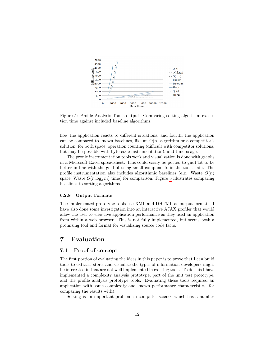

<span id="page-12-1"></span>Figure 5: Profile Analysis Tool's output. Comparing sorting algorithm execution time against included baseline algorithms.

how the application reacts to different situations; and fourth, the application can be compared to known baselines, like an  $O(n)$  algorithm or a competitor's solution, for both space, operation counting (difficult with competitor solutions, but may be possible with byte-code instrumentation), and time usage.

The profile instrumentation tools work and visualization is done with graphs in a Microsoft Excel spreadsheet. This could easily be ported to gnuPlot to be better in line with the goal of using small components in the tool chain. The profile instrumentation also includes algorithmic baselines (e.g. Waste  $O(n)$ ) space, Waste  $O(n \log_d m)$  time) for comparison. Figure [5](#page-12-1) illustrates comparing baselines to sorting algorithms.

#### 6.2.8 Output Formats

The implemented prototype tools use XML and DHTML as output formats. I have also done some investigation into an interactive AJAX profiler that would allow the user to view live application performance as they used an application from within a web browser. This is not fully implemented, but seems both a promising tool and format for visualizing source code facts.

## <span id="page-12-0"></span>7 Evaluation

#### 7.1 Proof of concept

The first portion of evaluating the ideas in this paper is to prove that I can build tools to extract, store, and visualize the types of information developers might be interested in that are not well implemented in existing tools. To do this I have implemented a complexity analysis prototype, part of the unit test prototype, and the profile analysis prototype tools. Evaluating these tools required an application with some complexity and known performance characteristics (for comparing the results with).

Sorting is an important problem in computer science which has a number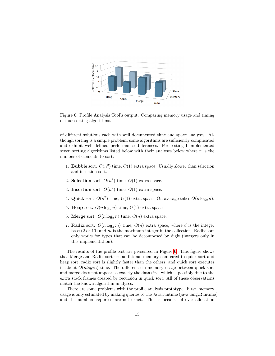

<span id="page-13-0"></span>Figure 6: Profile Analysis Tool's output. Comparing memory usage and timing of four sorting algorithms.

of different solutions each with well documented time and space analyses. Although sorting is a simple problem, some algorithms are sufficiently complicated and exhibit well defined performance differences. For testing I implemented seven sorting algorithms listed below with their analyses below where  $n$  is the number of elements to sort:

- 1. **Bubble** sort.  $O(n^2)$  time,  $O(1)$  extra space. Usually slower than selection and insertion sort.
- 2. Selection sort.  $O(n^2)$  time,  $O(1)$  extra space.
- 3. Insertion sort.  $O(n^2)$  time,  $O(1)$  extra space.
- 4. Quick sort.  $O(n^2)$  time,  $O(1)$  extra space. On average takes  $O(n \log_2 n)$ .
- 5. Heap sort.  $O(n \log_2 n)$  time,  $O(1)$  extra space.
- 6. Merge sort.  $O(n \log_2 n)$  time,  $O(n)$  extra space.
- 7. Radix sort.  $O(n \log_d m)$  time,  $O(n)$  extra space, where d is the integer base  $(2 \text{ or } 10)$  and m is the maximum integer in the collection. Radix sort only works for types that can be decomposed by digit (integers only in this implementation).

The results of the profile test are presented in Figure [6.](#page-13-0) This figure shows that Merge and Radix sort use additional memory compared to quick sort and heap sort, radix sort is slightly faster than the others, and quick sort executes in about  $O(n \log_2 n)$  time. The difference in memory usage between quick sort and merge does not appear as exactly the data size, which is possibly due to the extra stack frames created by recursion in quick sort. All of these observations match the known algorithm analyses.

There are some problems with the profile analysis prototype. First, memory usage is only estimated by making queries to the Java runtime (java.lang.Runtime) and the numbers reported are not exact. This is because of over allocation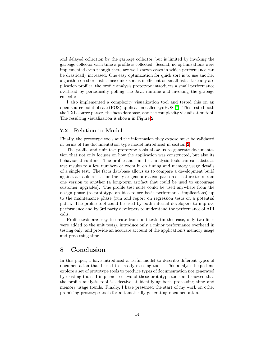and delayed collection by the garbage collector, but is limited by invoking the garbage collector each time a profile is collected. Second, no optimizations were implemented even though there are well known cases in which performance can be drastically increased. One easy optimization for quick sort is to use another algorithm on short lists since quick sort is inefficient on small lists. Like any application profiler, the profile analysis prototype introduces a small performance overhead by periodically polling the Java runtime and invoking the garbage collector.

I also implemented a complexity visualization tool and tested this on an open-source point of sale (POS) application called synPOS [\[7\]](#page-16-8). This tested both the TXL source parser, the facts database, and the complexity visualization tool. The resulting visualization is shown in Figure [2.](#page-10-0)

#### 7.2 Relation to Model

Finally, the prototype tools and the information they expose must be validated in terms of the documentation type model introduced in section [2.](#page-2-0)

The profile and unit test prototype tools allow us to generate documentation that not only focuses on how the application was constructed, but also its behavior at runtime. The profile and unit test analysis tools can can abstract test results to a few numbers or zoom in on timing and memory usage details of a single test. The facts database allows us to compare a development build against a stable release on the fly or generate a comparison of feature tests from one version to another (a long-term artifact that could be used to encourage customer upgrades). The profile test suite could be used anywhere from the design phase (to prototype an idea to see basic performance implications) up to the maintenance phase (run and report on regression tests on a potential patch. The profile tool could be used by both internal developers to improve performance and by 3rd party developers to understand the performance of API calls.

Profile tests are easy to create from unit tests (in this case, only two lines were added to the unit tests), introduce only a minor performance overhead in testing only, and provide an accurate account of the application's memory usage and processing time.

## 8 Conclusion

In this paper, I have introduced a useful model to describe different types of documentation that I used to classify existing tools. This analysis helped me explore a set of prototype tools to produce types of documentation not generated by existing tools. I implemented two of these prototype tools and showed that the profile analysis tool is effective at identifying both processing time and memory usage trends. Finally, I have presented the start of my work on other promising prototype tools for automatically generating documentation.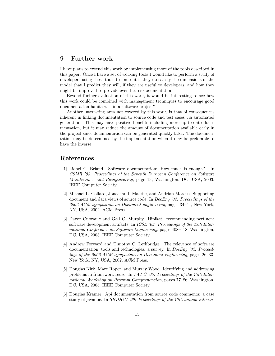## 9 Further work

I have plans to extend this work by implementing more of the tools described in this paper. Once I have a set of working tools I would like to perform a study of developers using these tools to find out if they do satisfy the dimensions of the model that I predict they will, if they are useful to developers, and how they might be improved to provide even better documentation.

Beyond further evaluation of this work, it would be interesting to see how this work could be combined with management techniques to encourage good documentation habits within a software project?

Another interesting area not covered by this work, is that of consequences inherent in linking documentation to source code and test cases via automated generation. This may have positive benefits including more up-to-date documentation, but it may reduce the amount of documentation available early in the project since documentation can be generated quickly later. The documentation may be determined by the implementation when it may be preferable to have the inverse.

## References

- <span id="page-15-0"></span>[1] Lionel C. Briand. Software documentation: How much is enough? In CSMR '03: Proceedings of the Seventh European Conference on Software Maintenance and Reengineering, page 13, Washington, DC, USA, 2003. IEEE Computer Society.
- <span id="page-15-3"></span>[2] Michael L. Collard, Jonathan I. Maletic, and Andrian Marcus. Supporting document and data views of source code. In DocEng '02: Proceedings of the 2002 ACM symposium on Document engineering, pages 34–41, New York, NY, USA, 2002. ACM Press.
- <span id="page-15-4"></span>[3] Davor Cubranic and Gail C. Murphy. Hipikat: recommending pertinent software development artifacts. In ICSE '03: Proceedings of the 25th International Conference on Software Engineering, pages 408–418, Washington, DC, USA, 2003. IEEE Computer Society.
- <span id="page-15-1"></span>[4] Andrew Forward and Timothy C. Lethbridge. The relevance of software documentation, tools and technologies: a survey. In DocEng '02: Proceedings of the 2002 ACM symposium on Document engineering, pages 26–33, New York, NY, USA, 2002. ACM Press.
- <span id="page-15-5"></span>[5] Douglas Kirk, Marc Roper, and Murray Wood. Identifying and addressing problems in framework reuse. In IWPC '05: Proceedings of the 13th International Workshop on Program Comprehension, pages 77–86, Washington, DC, USA, 2005. IEEE Computer Society.
- <span id="page-15-2"></span>[6] Douglas Kramer. Api documentation from source code comments: a case study of javadoc. In SIGDOC '99: Proceedings of the 17th annual interna-